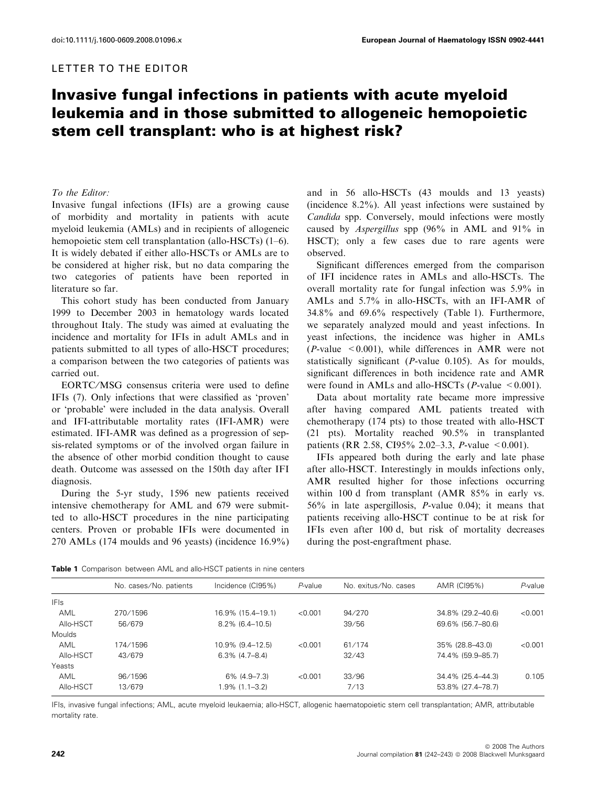### LETTER TO THE EDITOR

# Invasive fungal infections in patients with acute myeloid leukemia and in those submitted to allogeneic hemopoietic stem cell transplant: who is at highest risk?

#### To the Editor:

Invasive fungal infections (IFIs) are a growing cause of morbidity and mortality in patients with acute myeloid leukemia (AMLs) and in recipients of allogeneic hemopoietic stem cell transplantation (allo-HSCTs) (1–6). It is widely debated if either allo-HSCTs or AMLs are to be considered at higher risk, but no data comparing the two categories of patients have been reported in literature so far.

This cohort study has been conducted from January 1999 to December 2003 in hematology wards located throughout Italy. The study was aimed at evaluating the incidence and mortality for IFIs in adult AMLs and in patients submitted to all types of allo-HSCT procedures; a comparison between the two categories of patients was carried out.

EORTC/MSG consensus criteria were used to define IFIs (7). Only infections that were classified as 'proven' or 'probable' were included in the data analysis. Overall and IFI-attributable mortality rates (IFI-AMR) were estimated. IFI-AMR was defined as a progression of sepsis-related symptoms or of the involved organ failure in the absence of other morbid condition thought to cause death. Outcome was assessed on the 150th day after IFI diagnosis.

During the 5-yr study, 1596 new patients received intensive chemotherapy for AML and 679 were submitted to allo-HSCT procedures in the nine participating centers. Proven or probable IFIs were documented in 270 AMLs (174 moulds and 96 yeasts) (incidence 16.9%) and in 56 allo-HSCTs (43 moulds and 13 yeasts) (incidence 8.2%). All yeast infections were sustained by Candida spp. Conversely, mould infections were mostly caused by Aspergillus spp (96% in AML and 91% in HSCT); only a few cases due to rare agents were observed.

Significant differences emerged from the comparison of IFI incidence rates in AMLs and allo-HSCTs. The overall mortality rate for fungal infection was 5.9% in AMLs and 5.7% in allo-HSCTs, with an IFI-AMR of 34.8% and 69.6% respectively (Table 1). Furthermore, we separately analyzed mould and yeast infections. In yeast infections, the incidence was higher in AMLs  $(P\text{-value} < 0.001)$ , while differences in AMR were not statistically significant (P-value 0.105). As for moulds, significant differences in both incidence rate and AMR were found in AMLs and allo-HSCTs (*P*-value  $\leq 0.001$ ).

Data about mortality rate became more impressive after having compared AML patients treated with chemotherapy (174 pts) to those treated with allo-HSCT (21 pts). Mortality reached 90.5% in transplanted patients (RR 2.58, CI95% 2.02–3.3, *P*-value <0.001).

IFIs appeared both during the early and late phase after allo-HSCT. Interestingly in moulds infections only, AMR resulted higher for those infections occurring within 100 d from transplant (AMR 85% in early vs. 56% in late aspergillosis, P-value 0.04); it means that patients receiving allo-HSCT continue to be at risk for IFIs even after 100 d, but risk of mortality decreases during the post-engraftment phase.

Table 1 Comparison between AML and allo-HSCT patients in nine centers

|               | No. cases/No. patients | Incidence (CI95%)  | $P$ -value | No. exitus/No. cases | AMR (CI95%)       | $P$ -value |
|---------------|------------------------|--------------------|------------|----------------------|-------------------|------------|
| <b>IFIs</b>   |                        |                    |            |                      |                   |            |
| AML           | 270/1596               | 16.9% (15.4–19.1)  | < 0.001    | 94/270               | 34.8% (29.2–40.6) | < 0.001    |
| Allo-HSCT     | 56/679                 | $8.2\%$ (6.4-10.5) |            | 39/56                | 69.6% (56.7-80.6) |            |
| <b>Moulds</b> |                        |                    |            |                      |                   |            |
| AML           | 174/1596               | 10.9% (9.4-12.5)   | < 0.001    | 61/174               | 35% (28.8-43.0)   | < 0.001    |
| Allo-HSCT     | 43/679                 | $6.3\%$ (4.7-8.4)  |            | 32/43                | 74.4% (59.9-85.7) |            |
| Yeasts        |                        |                    |            |                      |                   |            |
| AML           | 96/1596                | 6% (4.9-7.3)       | < 0.001    | 33/96                | 34.4% (25.4-44.3) | 0.105      |
| Allo-HSCT     | 13/679                 | 1.9% (1.1–3.2)     |            | 7/13                 | 53.8% (27.4-78.7) |            |
|               |                        |                    |            |                      |                   |            |

IFIs, invasive fungal infections; AML, acute myeloid leukaemia; allo-HSCT, allogenic haematopoietic stem cell transplantation; AMR, attributable mortality rate.